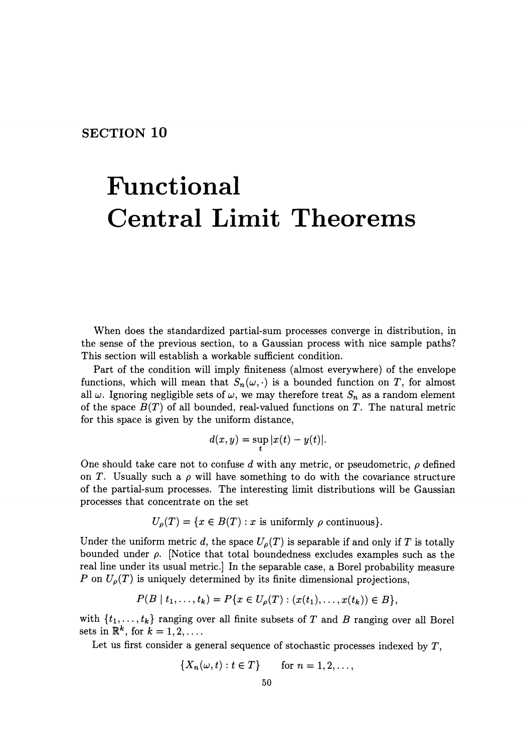## **SECTION 10**

# **Functional Central Limit Theorems**

When does the standardized partial-sum processes converge in distribution, in the sense of the previous section, to a Gaussian process with nice sample paths? This section will establish a workable sufficient condition.

Part of the condition will imply finiteness (almost everywhere) of the envelope functions, which will mean that  $S_n(\omega, \cdot)$  is a bounded function on *T*, for almost all  $\omega$ . Ignoring negligible sets of  $\omega$ , we may therefore treat  $S_n$  as a random element of the space  $B(T)$  of all bounded, real-valued functions on T. The natural metric for this space is given by the uniform distance,

$$
d(x,y) = \sup_t |x(t) - y(t)|.
$$

One should take care not to confuse  $d$  with any metric, or pseudometric,  $\rho$  defined on T. Usually such a  $\rho$  will have something to do with the covariance structure of the partial-sum processes. The interesting limit distributions will be Gaussian processes that concentrate on the set

$$
U_{\rho}(T) = \{ x \in B(T) : x \text{ is uniformly } \rho \text{ continuous} \}.
$$

Under the uniform metric d, the space  $U_{\rho}(T)$  is separable if and only if T is totally bounded under  $\rho$ . (Notice that total boundedness excludes examples such as the real line under its usual metric.] In the separable case, a Borel probability measure P on  $U_{\rho}(T)$  is uniquely determined by its finite dimensional projections,

$$
P(B | t_1, ..., t_k) = P\{x \in U_{\rho}(T) : (x(t_1), ..., x(t_k)) \in B\},\
$$

with  $\{t_1, \ldots, t_k\}$  ranging over all finite subsets of  $T$  and  $B$  ranging over all Borel sets in  $\mathbb{R}^k$ , for  $k = 1, 2, \ldots$ .

Let us first consider a general sequence of stochastic processes indexed by *T,* 

$$
\{X_n(\omega,t):t\in T\} \qquad \text{for } n=1,2,\ldots,
$$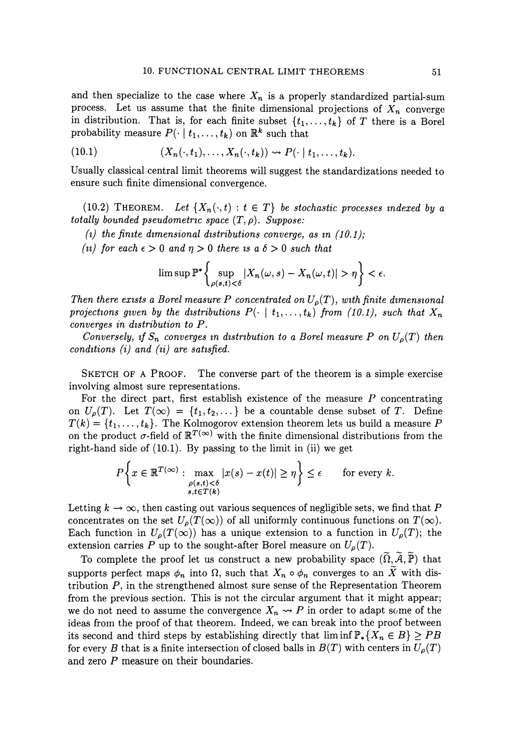and then specialize to the case where  $X_n$  is a properly standardized partial-sum process. Let us assume that the finite dimensional projections of  $X_n$  converge in distribution. That is, for each finite subset  $\{t_1, \ldots, t_k\}$  of *T* there is a Borel probability measure  $P(\cdot | t_1, \ldots, t_k)$  on  $\mathbb{R}^k$  such that

(10.1) 
$$
(X_n(\cdot,t_1),\ldots,X_n(\cdot,t_k)) \rightsquigarrow P(\cdot \mid t_1,\ldots,t_k).
$$

Usually classical central limit theorems will suggest the standardizations needed to ensure such finite dimensional convergence.

(10.2) THEOREM. Let  $\{X_n(\cdot,t): t \in T\}$  be stochastic processes indexed by a *totally bounded pseudometric space*  $(T, \rho)$ . *Suppose:* 

- (*i*) the finite dimensional distributions converge, as in  $(10.1)$ ;
- *(ii)* for each  $\epsilon > 0$  and  $\eta > 0$  there is a  $\delta > 0$  such that

$$
\limsup \mathbb{P}^*\bigg\{\sup_{\rho(s,t)<\delta}|X_n(\omega,s)-X_n(\omega,t)|>\eta\bigg\}<\epsilon.
$$

*Then there exists a Borel measure P concentrated on*  $U_o(T)$ *, with finite dimensional* projections given by the distributions  $P(\cdot \mid t_1, \ldots, t_k)$  from (10.1), such that  $X_n$ *converges in dzstribution to P.* 

*Conversely, if*  $S_n$  *converges in distribution to a Borel measure* P on  $U_p(T)$  then *conditions (i) and (ii) are satisfied.* 

SKETCH OF A PROOF. The converse part of the theorem is a simple exercise involving almost sure representations.

For the direct part, first establish existence of the measure *P* concentrating on  $U_{\rho}(T)$ . Let  $T(\infty) = \{t_1, t_2, \dots\}$  be a countable dense subset of T. Define  $T(k) = \{t_1, \ldots, t_k\}$ . The Kolmogorov extension theorem lets us build a measure P on the product  $\sigma$ -field of  $\mathbb{R}^{T(\infty)}$  with the finite dimensional distributions from the right-hand side of (10.1). By passing to the limit in (ii) we get

$$
P\left\{x \in \mathbb{R}^{T(\infty)} : \max_{\substack{\rho(s,t) < \delta \\ s,t \in T(k)}} |x(s) - x(t)| \ge \eta \right\} \le \epsilon \quad \text{for every } k.
$$

Letting  $k \to \infty$ , then casting out various sequences of negligible sets, we find that P concentrates on the set  $U_o(T(\infty))$  of all uniformly continuous functions on  $T(\infty)$ . Each function in  $U_{\rho}(T(\infty))$  has a unique extension to a function in  $U_{\rho}(T)$ ; the extension carries P up to the sought-after Borel measure on  $U_{\rho}(T)$ .

To complete the proof let us construct a new probability space  $(\widetilde{\Omega}, \widetilde{\mathcal{A}}, \widetilde{\mathbb{P}})$  that supports perfect maps  $\phi_n$  into  $\Omega$ , such that  $X_n \circ \phi_n$  converges to an  $\widetilde{X}$  with distribution P, in the strengthened almost sure sense of the Representation Theorem from the previous section. This is not the circular argument that it might appear; we do not need to assume the convergence  $X_n \rightarrow P$  in order to adapt some of the ideas from the proof of that theorem. Indeed, we can break into the proof between its second and third steps by establishing directly that  $\liminf P_* \{ X_n \in B \} \geq PB$ for every *B* that is a finite intersection of closed balls in  $B(T)$  with centers in  $U_{\rho}(T)$ and zero P measure on their boundaries.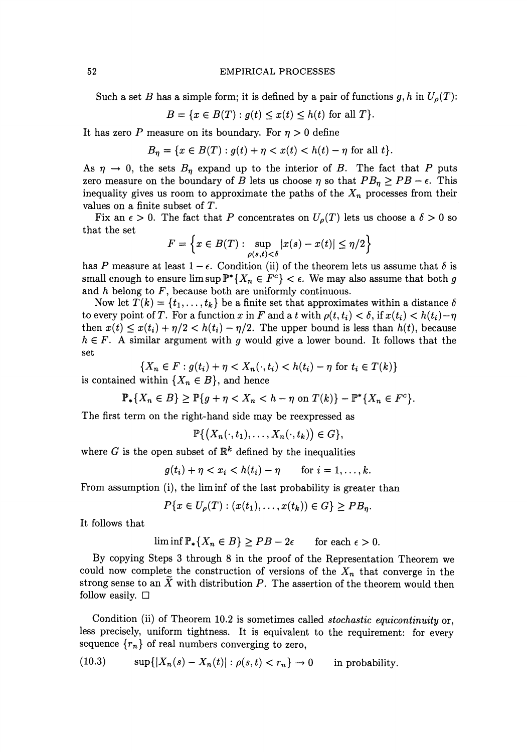#### 52 EMPIRICAL PROCESSES

Such a set B has a simple form; it is defined by a pair of functions g, h in  $U_{\rho}(T)$ :

$$
B = \{ x \in B(T) : g(t) \le x(t) \le h(t) \text{ for all } T \}.
$$

It has zero *P* measure on its boundary. For  $\eta > 0$  define

$$
B_{\eta} = \{x \in B(T) : g(t) + \eta < x(t) < h(t) - \eta \text{ for all } t\}.
$$

As  $\eta \rightarrow 0$ , the sets  $B_n$  expand up to the interior of B. The fact that P puts zero measure on the boundary of B lets us choose  $\eta$  so that  $PB_n \ge PB - \epsilon$ . This inequality gives us room to approximate the paths of the  $X_n$  processes from their values on a finite subset of  $T$ .

Fix an  $\epsilon > 0$ . The fact that P concentrates on  $U_{\rho}(T)$  lets us choose a  $\delta > 0$  so that the set

$$
F = \left\{ x \in B(T) : \sup_{\rho(s,t) < \delta} |x(s) - x(t)| \le \eta/2 \right\}
$$

has P measure at least  $1-\epsilon$ . Condition (ii) of the theorem lets us assume that  $\delta$  is small enough to ensure  $\limsup \mathbb{P}^*\{X_n \in F^c\} < \epsilon$ . We may also assume that both g and  $h$  belong to  $F$ , because both are uniformly continuous.

Now let  $T(k) = \{t_1, \ldots, t_k\}$  be a finite set that approximates within a distance  $\delta$ to every point of T. For a function x in F and a t with  $\rho(t, t_i) < \delta$ , if  $x(t_i) < h(t_i) - \eta$ then  $x(t) \leq x(t_i) + \eta/2 < h(t_i) - \eta/2$ . The upper bound is less than  $h(t)$ , because  $h \in F$ . A similar argument with *g* would give a lower bound. It follows that the set

$$
\{X_n \in F : g(t_i) + \eta < X_n(\cdot, t_i) < h(t_i) - \eta \text{ for } t_i \in T(k)\}
$$

is contained within  $\{X_n \in B\}$ , and hence

$$
\mathbb{P}_{*}\lbrace X_{n} \in B \rbrace \geq \mathbb{P}\lbrace g + \eta < X_{n} < h - \eta \text{ on } T(k) \rbrace - \mathbb{P}^{*}\lbrace X_{n} \in F^{c} \rbrace.
$$

The first term on the right-hand side may be reexpressed as

$$
\mathbb{P}\{(X_n(\cdot,t_1),\ldots,X_n(\cdot,t_k))\in G\},\
$$

where *G* is the open subset of  $\mathbb{R}^k$  defined by the inequalities

$$
g(t_i) + \eta < x_i < h(t_i) - \eta \quad \text{for } i = 1, \ldots, k.
$$

From assumption (i), the lim inf of the last probability is greater than

$$
P\{x \in U_{\rho}(T): (x(t_1),\ldots,x(t_k)) \in G\} \geq PB_{\eta}.
$$

It follows that

$$
\liminf \mathbb{P}_*\{X_n \in B\} \ge PB - 2\epsilon \quad \text{for each } \epsilon > 0.
$$

By copying Steps 3 through 8 in the proof of the Representation Theorem we could now complete the construction of versions of the  $X_n$  that converge in the strong sense to an  $\tilde{X}$  with distribution  $P$ . The assertion of the theorem would then follow easily.  $\Box$ 

Condition (ii) of Theorem 10.2 is sometimes called *stochastic equicontinuity* or, less precisely, uniform tightness. It is equivalent to the requirement: for every sequence  ${r_n}$  of real numbers converging to zero,

(10.3) 
$$
\sup\{|X_n(s) - X_n(t)| : \rho(s,t) < r_n\} \to 0 \quad \text{in probability.}
$$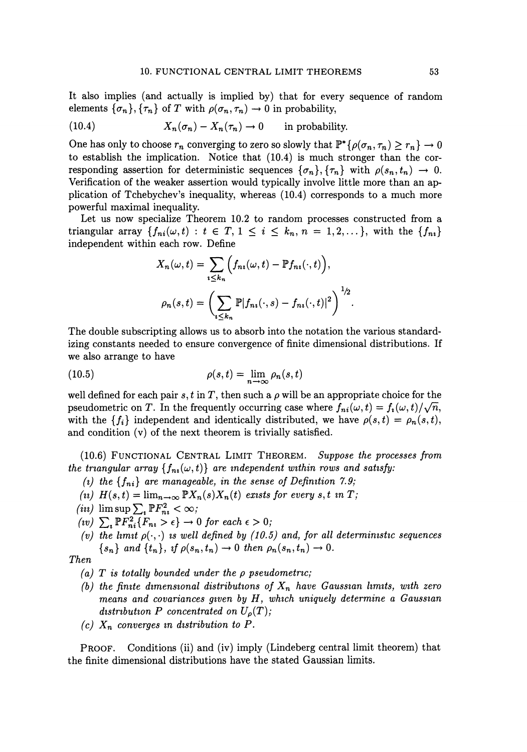It also implies (and actually is implied by) that for every sequence of random elements  $\{\sigma_n\}$ ,  $\{\tau_n\}$  of T with  $\rho(\sigma_n, \tau_n) \to 0$  in probability,

(10.4) 
$$
X_n(\sigma_n) - X_n(\tau_n) \to 0 \quad \text{in probability.}
$$

One has only to choose  $r_n$  converging to zero so slowly that  $\mathbb{P}^*\{\rho(\sigma_n, \tau_n) \ge r_n\} \to 0$ to establish the implication. Notice that (10.4) is much stronger than the corresponding assertion for deterministic sequences  $\{\sigma_n\}, \{\tau_n\}$  with  $\rho(s_n, t_n) \to 0$ . Verification of the weaker assertion would typically involve little more than an application of Tchebychev's inequality, whereas (10.4) corresponds to a much more powerful maximal inequality.

Let us now specialize Theorem 10.2 to random processes constructed from a triangular array  $\{f_{ni}(\omega, t): t \in T, 1 \leq i \leq k_n, n = 1, 2, \ldots\}$ , with the  $\{f_{ni}\}$ independent within each row. Define

$$
X_n(\omega, t) = \sum_{i \le k_n} \Big( f_{n_i}(\omega, t) - \mathbb{P} f_{n_i}(\cdot, t) \Big),
$$
  

$$
\rho_n(s, t) = \left( \sum_{i \le k_n} \mathbb{P} |f_{n_i}(\cdot, s) - f_{n_i}(\cdot, t)|^2 \right)^{1/2}.
$$

The double subscripting allows us to absorb into the notation the various standardizing constants needed to ensure convergence of finite dimensional distributions. If we also arrange to have

(10.5) 
$$
\rho(s,t) = \lim_{n \to \infty} \rho_n(s,t)
$$

well defined for each pair s, t in T, then such a  $\rho$  will be an appropriate choice for the pseudometric on *T*. In the frequently occurring case where  $f_{ni}(\omega, t) = f_i(\omega, t)/\sqrt{n}$ , with the  ${f_i}$  independent and identically distributed, we have  $\rho(s,t) = \rho_n(s,t)$ , and condition (v) of the next theorem is trivially satisfied.

(10.6) FUNCTIONAL CENTRAL LIMIT THEOREM. *Suppose the processes from the triangular array*  $\{f_m(\omega, t)\}\$  *are independent within rows and satisfy:* 

- (*i*) the  $\{f_{ni}\}\$  are manageable, in the sense of Definition 7.9;
- (*u*)  $H(s,t) = \lim_{n \to \infty} \mathbb{P}X_n(s)X_n(t)$  exists for every s, t in *T*;
- $(iii)$   $\limsup \sum_{i} \mathbb{P}F_{ni}^{2} < \infty;$
- $f(v)$   $\sum_{i} \mathbb{P} F_{ni}^{2} \{F_{ni} > \epsilon\} \rightarrow 0$  *for each*  $\epsilon > 0$ ;
- *(v)* the limit  $p(\cdot, \cdot)$  is well defined by (10.5) and, for all deterministic sequences  $\{s_n\}$  and  $\{t_n\}$ , if  $\rho(s_n,t_n)\to 0$  then  $\rho_n(s_n,t_n)\to 0$ .

*Then* 

- *(a) T is totally bounded under the p pseudometrzc;*
- *(b)* the finite dimensional distributions of  $X_n$  have Gaussian limits, with zero *means and covariances given by H, which uniquely determine a Gaussian* distribution P concentrated on  $U_{\rho}(T)$ ;
- $(c)$   $X_n$  converges in distribution to P.

PROOF. Conditions (ii) and (iv) imply (Lindeberg central limit theorem) that the finite dimensional distributions have the stated Gaussian limits.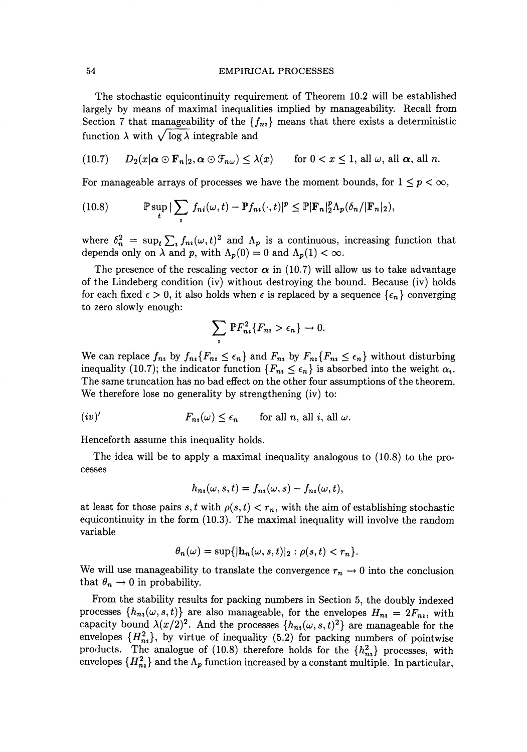#### 54 EMPIRICAL PROCESSES

The stochastic equicontinuity requirement of Theorem 10.2 will be established largely by means of maximal inequalities implied by manageability. Recall from Section 7 that manageability of the  $\{f_{ni}\}\$  means that there exists a deterministic function  $\lambda$  with  $\sqrt{\log \lambda}$  integrable and

(10.7) 
$$
D_2(x|\alpha \odot \mathbf{F}_n|_2, \alpha \odot \mathcal{F}_{n\omega}) \leq \lambda(x)
$$
 for  $0 < x \leq 1$ , all  $\omega$ , all  $\alpha$ , all n.

For manageable arrays of processes we have the moment bounds, for  $1 \leq p \leq \infty$ ,

(10.8) 
$$
\mathbb{P}\sup_{t}|\sum_{i}f_{ni}(\omega,t)-\mathbb{P}f_{ni}(\cdot,t)|^{p}\leq \mathbb{P}|\mathbf{F}_{n}|_{2}^{p}\Lambda_{p}(\delta_{n}/|\mathbf{F}_{n}|_{2}),
$$

where  $\delta_n^2 = \sup_t \sum_i f_{ni}(\omega, t)^2$  and  $\Lambda_p$  is a continuous, increasing function that depends only on  $\lambda$  and *p*, with  $\Lambda_p(0) = 0$  and  $\Lambda_p(1) < \infty$ .

The presence of the rescaling vector  $\alpha$  in (10.7) will allow us to take advantage of the Lindeberg condition (iv) without destroying the bound. Because (iv) holds for each fixed  $\epsilon > 0$ , it also holds when  $\epsilon$  is replaced by a sequence  $\{\epsilon_n\}$  converging to zero slowly enough:

$$
\sum_{i} \mathbb{P} F_{ni}^{2} \{ F_{ni} > \epsilon_n \} \to 0.
$$

We can replace  $f_{n_i}$  by  $f_{n_i}\{F_{n_i} \leq \epsilon_n\}$  and  $F_{n_i}$  by  $F_{n_i}\{F_{n_i} \leq \epsilon_n\}$  without disturbing inequality (10.7); the indicator function  ${F_n \leq \epsilon_n}$  is absorbed into the weight  $\alpha_i$ . The same truncation has no bad effect on the other four assumptions of the theorem. We therefore lose no generality by strengthening (iv) to:

$$
(iv)'
$$
  $F_{n_i}(\omega) \le \epsilon_n \quad \text{for all } n, \text{ all } i, \text{ all } \omega.$ 

Henceforth assume this inequality holds.

The idea will be to apply a maximal inequality analogous to (10.8) to the processes

$$
h_{n_1}(\omega, s, t) = f_{n_1}(\omega, s) - f_{n_1}(\omega, t),
$$

at least for those pairs *s*, *t* with  $\rho(s, t) < r_n$ , with the aim of establishing stochastic equicontinuity in the form (10.3). The maximal inequality will involve the random variable

$$
\theta_n(\omega) = \sup\{|\mathbf{h}_n(\omega, s, t)|_2 : \rho(s, t) < r_n\}.
$$

We will use manageability to translate the convergence  $r_n \to 0$  into the conclusion that  $\theta_n \to 0$  in probability.

From the stability results for packing numbers in Section 5, the doubly indexed processes  $\{h_{ni}(\omega, s, t)\}\$  are also manageable, for the envelopes  $H_{ni} = 2F_{ni}$ , with capacity bound  $\lambda(x/2)^2$ . And the processes  $\{h_{ni}(\omega, s, t)^2\}$  are manageable for the envelopes  ${H_{ni}^2}$ , by virtue of inequality (5.2) for packing numbers of pointwise products. The analogue of (10.8) therefore holds for the  $\{h_{ni}^2\}$  processes, with envelopes  $\{H_{ni}^2\}$  and the  $\Lambda_p$  function increased by a constant multiple. In particular,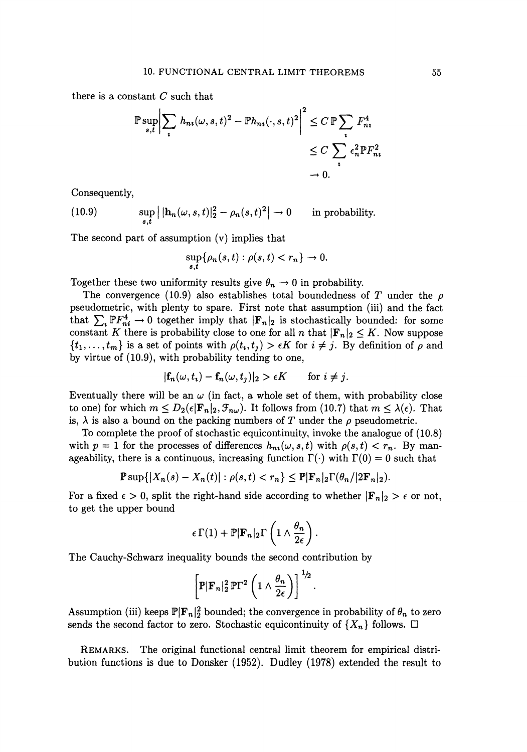there is a constant *C* such that

$$
\mathbb{P}\sup_{s,t} \left| \sum_{i} h_{ni}(\omega, s, t)^2 - \mathbb{P}h_{ni}(\cdot, s, t)^2 \right|^2 \le C \mathbb{P} \sum_{i} F_{ni}^4
$$
  

$$
\le C \sum_{i} \epsilon_n^2 \mathbb{P}F_{ni}^2
$$
  

$$
\to 0.
$$

Consequently,

(10.9)  $\sup_{s,t} |[\mathbf{h}_n(\omega, s, t)]_2^2 - \rho_n(s, t)^2| \to 0$ in probability.

The second part of assumption  $(v)$  implies that

$$
\sup_{s,t}\{\rho_n(s,t):\rho(s,t)
$$

Together these two uniformity results give  $\theta_n \to 0$  in probability.

The convergence (10.9) also establishes total boundedness of *T* under the  $\rho$ pseudometric, with plenty to spare. First note that assumption (iii) and the fact that  $\sum_{i} \mathbb{P}F_{ni}^4 \to 0$  together imply that  $|\mathbf{F}_n|_2$  is stochastically bounded: for some constant K there is probability close to one for all *n* that  $|\mathbf{F}_n|_2 \leq K$ . Now suppose  $\{t_1, \ldots, t_m\}$  is a set of points with  $\rho(t_i, t_j) > \epsilon K$  for  $i \neq j$ . By definition of  $\rho$  and by virtue of (10.9), with probability tending to one,

$$
|\mathbf{f}_n(\omega, t_i) - \mathbf{f}_n(\omega, t_j)|_2 > \epsilon K \quad \text{for } i \neq j.
$$

Eventually there will be an  $\omega$  (in fact, a whole set of them, with probability close to one) for which  $m \leq D_2(\epsilon | \mathbf{F}_n|_2, \mathcal{F}_{n\omega})$ . It follows from (10.7) that  $m \leq \lambda(\epsilon)$ . That is,  $\lambda$  is also a bound on the packing numbers of *T* under the  $\rho$  pseudometric.

To complete the proof of stochastic equicontinuity, invoke the analogue of (10.8) with  $p = 1$  for the processes of differences  $h_{ni}(\omega, s, t)$  with  $\rho(s, t) < r_n$ . By manageability, there is a continuous, increasing function  $\Gamma(\cdot)$  with  $\Gamma(0) = 0$  such that

$$
\mathbb{P}\sup\{|X_n(s)-X_n(t)|:\rho(s,t)
$$

For a fixed  $\epsilon > 0$ , split the right-hand side according to whether  $|\mathbf{F}_n|_2 > \epsilon$  or not, to get the upper bound

$$
\epsilon \Gamma(1) + \mathbb{P} |\mathbf{F}_n|_2 \Gamma\left(1 \wedge \frac{\theta_n}{2\epsilon}\right).
$$

The Cauchy-Schwarz inequality bounds the second contribution by

$$
\left[\mathbb{P}|\mathbf{F}_n|_2^2 \, \mathbb{P}\Gamma^2 \left(1 \wedge \frac{\theta_n}{2\epsilon}\right)\right]^{1/2}.
$$

Assumption (iii) keeps  $\mathbb{P}[\mathbf{F}_n]^2$  bounded; the convergence in probability of  $\theta_n$  to zero sends the second factor to zero. Stochastic equicontinuity of  $\{X_n\}$  follows.  $\Box$ 

REMARKS. The original functional central limit theorem for empirical distribution functions is due to Donsker (1952). Dudley (1978) extended the result to